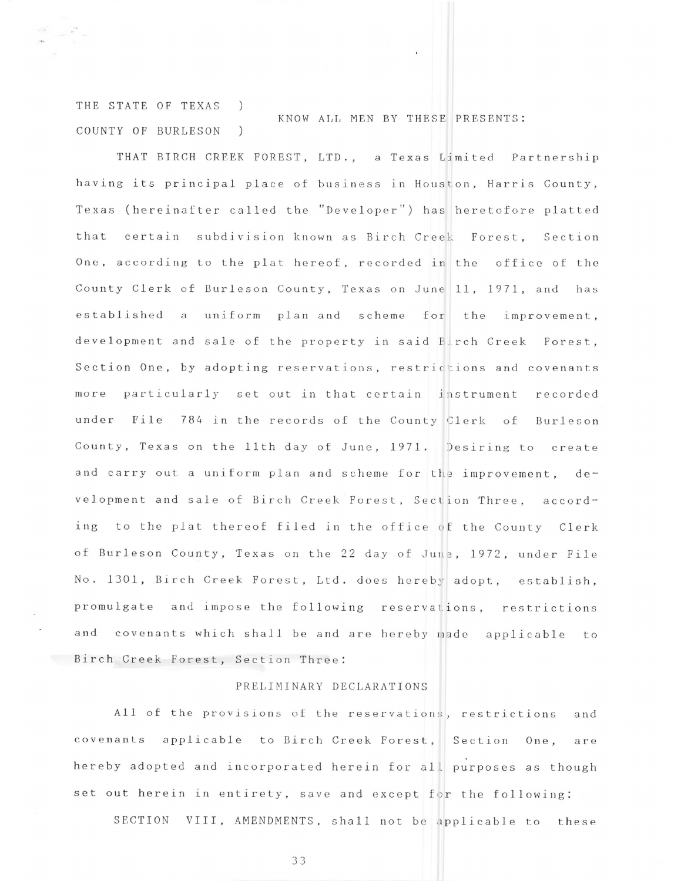THE STATE OF TEXAS ) COUNTY OF BURLESON ) KNOW ALL MEN BY THESE PRESENTS:

THAT BIRCH CREEK FOREST, LTD., a Texas Limited Partnership having its principal place of business in Houston, Harris County, Texas (hereinafter called the "Developer") has heretofore platted that certain subdivision known as Birch Creel: Forest, Section One, according to the plat hereof, recorded in the office of the County Clerk of Burleson County, Texas on June 11, 1971, and has established a uniform plan and scheme for the improvement, development and sale of the property in said Birch Creek Forest, Section One, by adopting reservations, restrictions and covenants more particularly set out in that certain instrument recorded under File 784 in the records of the County Clerk of Burleson County, Texas on the 11th day of June, 1971. Desiring to create and carry out a uniform plan and scheme for the improvement, development and sale of Birch Creek Forest, Section Three, according to the plat thereof filed in the office of the County Clerk of Burleson County, Texas on the 22 day of June, 1972, under File No. 1301, Birch Creek Forest, Ltd. does hereby adopt, establish, promulgate and impose the following reservations, restrictions and covenants which shall be and are hereby made applicable to Birch Creek Forest, Section Three:

## PRELIMINARY DECLARATIONS

A11 of the provisions of the reservations, restrictions and covenants applicable to Birch Creek Forest, Section One, are hereby adopted and incorporated herein for all purposes as though set out herein in entirety, save and except for the following:

SECTION VIII, AMENDMENTS, shall not be applicable to these

33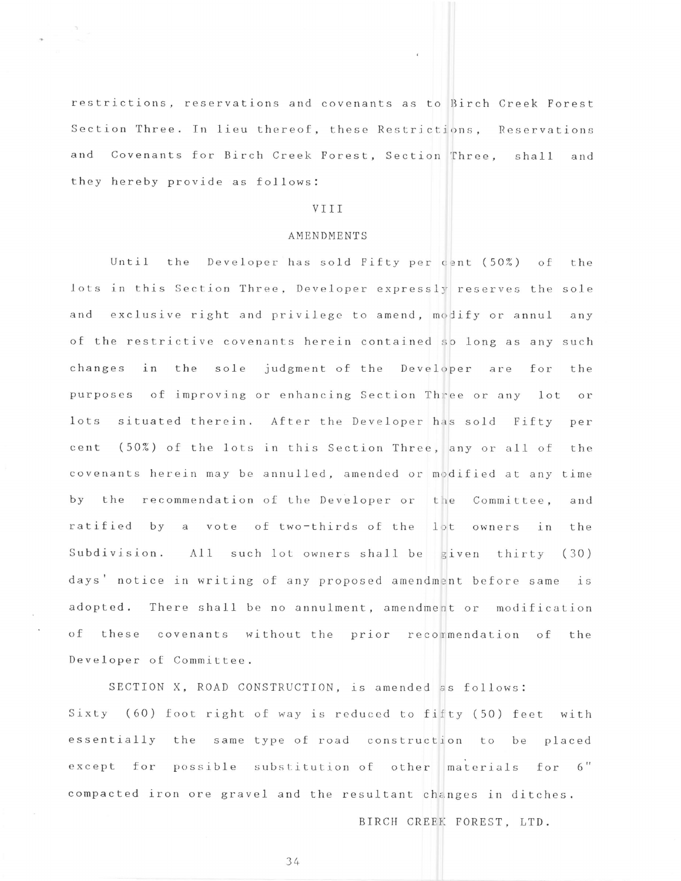restrictions, reservations and covenants as to Birch Creek Forest Section Three. In lieu thereof, these Restrictions, Reservations and Covenants for Birch Creek Forest, Section Three, shall and they hereby provide as follows:

## VIII

## **AMENDMENTS**

 $Unitil$ the Developer has sold Fifty per cent (50%) of the lots in this Section Three, Developer expressly reserves the sole and exclusive right and privilege to amend, modify or annul any of the restrictive covenants herein contained so long as any such changes in the sole judgment of the Developer are for the purposes of improving or enhancing Section Three or any lot  $or$  $lots$ situated therein. After the Developer has sold Fifty per (50%) of the lots in this Section Three, any or all of cent the covenants herein may be annulled, amended or modified at any time by the recommendation of the Developer or the Committee. and ratified by a vote of two-thirds of the lot owners in the Subdivision. All such lot owners shall be given thirty (30) days' notice in writing of any proposed amendment before same is adopted. There shall be no annulment, amendment or modification of these covenants without the prior recommendation of the Developer of Committee.

SECTION X, ROAD CONSTRUCTION, is amended as follows: Sixty (60) foot right of way is reduced to fifty (50) feet with essentially the same type of road construction to be placed except for possible substitution of other materials for 6" compacted iron ore gravel and the resultant changes in ditches.

BIRCH CREEK FOREST, LTD.

34